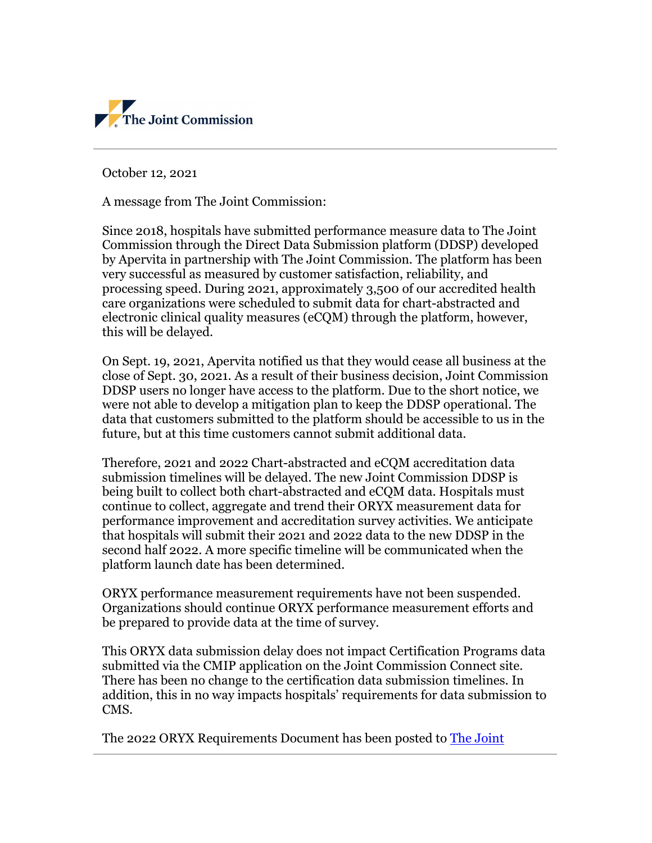

October 12, 2021

A message from The Joint Commission:

Since 2018, hospitals have submitted performance measure data to The Joint Commission through the Direct Data Submission platform (DDSP) developed by Apervita in partnership with The Joint Commission. The platform has been very successful as measured by customer satisfaction, reliability, and processing speed. During 2021, approximately 3,500 of our accredited health care organizations were scheduled to submit data for chart-abstracted and electronic clinical quality measures (eCQM) through the platform, however, this will be delayed.

On Sept. 19, 2021, Apervita notified us that they would cease all business at the close of Sept. 30, 2021. As a result of their business decision, Joint Commission DDSP users no longer have access to the platform. Due to the short notice, we were not able to develop a mitigation plan to keep the DDSP operational. The data that customers submitted to the platform should be accessible to us in the future, but at this time customers cannot submit additional data.

Therefore, 2021 and 2022 Chart-abstracted and eCQM accreditation data submission timelines will be delayed. The new Joint Commission DDSP is being built to collect both chart-abstracted and eCQM data. Hospitals must continue to collect, aggregate and trend their ORYX measurement data for performance improvement and accreditation survey activities. We anticipate that hospitals will submit their 2021 and 2022 data to the new DDSP in the second half 2022. A more specific timeline will be communicated when the platform launch date has been determined.

ORYX performance measurement requirements have not been suspended. Organizations should continue ORYX performance measurement efforts and be prepared to provide data at the time of survey.

This ORYX data submission delay does not impact Certification Programs data submitted via the CMIP application on the Joint Commission Connect site. There has been no change to the certification data submission timelines. In addition, this in no way impacts hospitals' requirements for data submission to CMS.

The 2022 ORYX Requirements Document has been posted to [The Joint](https://www.jointcommission.org/measurement/reporting/accreditation-oryx/)